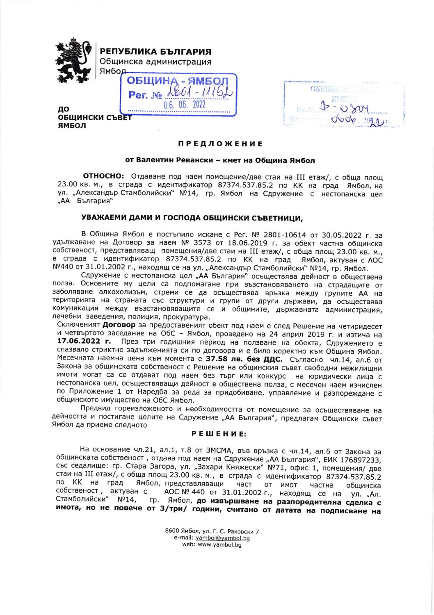

РЕПУБЛИКА БЪЛГАРИЯ Общинска администрация Ямбол

**ОБШИНА**  $2001 - 111$ Per No

ДО **ОБЩИНСКИ СЪВЕТ** ЯМБОЛ

|                                 | Characteristics in the contract of the con- |
|---------------------------------|---------------------------------------------|
| <b>OBLIGHCK TO</b>              |                                             |
| KINKULL                         |                                             |
| Bx                              | $400 - 4$                                   |
| Tale Trevelage in Health Filmer | 0606.209.9.55                               |

## **ПРЕДЛОЖЕНИЕ**

## от Валентин Ревански - кмет на Община Ямбол

**ОТНОСНО:** Отдаване под наем помещение/две стаи на III етаж/, с обща площ 23.00 кв. м., в сграда с идентификатор 87374.537.85.2 по КК на град Ямбол, на ул. "Александър Стамболийски" №14, гр. Ямбол на Сдружение с нестопанска цел "АА България"

## УВАЖАЕМИ ДАМИ И ГОСПОДА ОБЩИНСКИ СЪВЕТНИЦИ,

В Община Ямбол е постъпило искане с Рег. № 2801-10614 от 30.05.2022 г. за удължаване на Договор за наем № 3573 от 18.06.2019 г. за обект частна общинска собственост, представляващ помещения/две стаи на III етаж/, с обща площ 23.00 кв. м., в сграда с идентификатор 87374.537.85.2 по КК на град Ямбол, актуван с АОС №440 от 31.01.2002 г., находящ се на ул. "Александър Стамболийски" №14, гр. Ямбол.

Сдружение с нестопанска цел "АА България" осъществява дейност в обществена полза. Основните му цели са подпомагане при възстановяването на страдащите от заболяване алкохолизъм, стреми се да осъществява връзка между групите АА на територията на страната със структури и групи от други държави, да осъществява комуникация между възстановяващите се и общините, държавната администрация, лечебни заведения, полиция, прокуратура.

Сключеният Договор за предоставеният обект под наем е след Решение на четиридесет и четвъртото заседание на ОбС - Ямбол, проведено на 24 април 2019 г. и изтича на 17.06.2022 г. През три годишния период на ползване на обекта, Сдружението е спазвало стриктно задълженията си по договора и е било коректно към Община Ямбол. Месечната наемна цена към момента е 37.58 лв. без ДДС. Съгласно чл.14, ал.6 от Закона за общинската собственост с Решение на общинския съвет свободни нежилищни имоти могат са се отдават под наем без търг или конкурс на юридически лица с нестопанска цел, осъществяващи дейност в обществена полза, с месечен наем изчислен по Приложение 1 от Наредба за реда за придобиване, управление и разпореждане с общинското имущество на ОбС Ямбол.

Предвид гореизложеното и необходимостта от помещение за осъществяване на дейността и постигане целите на Сдружение "АА България", предлагам Общински съвет Ямбол да приеме следното

## РЕШЕНИЕ:

На основание чл.21, ал.1, т.8 от ЗМСМА, във връзка с чл.14, ал.6 от Закона за общинската собственост, отдава под наем на Сдружение "АА България", ЕИК 176897233, със седалище: гр. Стара Загора, ул. "Захари Княжески" №71, офис 1, помещения/ две стаи на III етаж/, с обща площ 23.00 кв. м., в сграда с идентификатор 87374.537.85.2 по КК на град Ямбол, представляващи част от имот частна общинска собственост, актуван с АОС № 440 от 31.01.2002 г., находящ се на ул. "Ал. Стамболийски" №14, гр. Ямбол, до извършване на разпоредителна сделка с имота, но не повече от 3/три/ години, считано от датата на подписване на

> 8600 Ямбол, ул. Г. С. Раковски 7 e-mail: yambol@yambol.bg web: www.yambol.bg